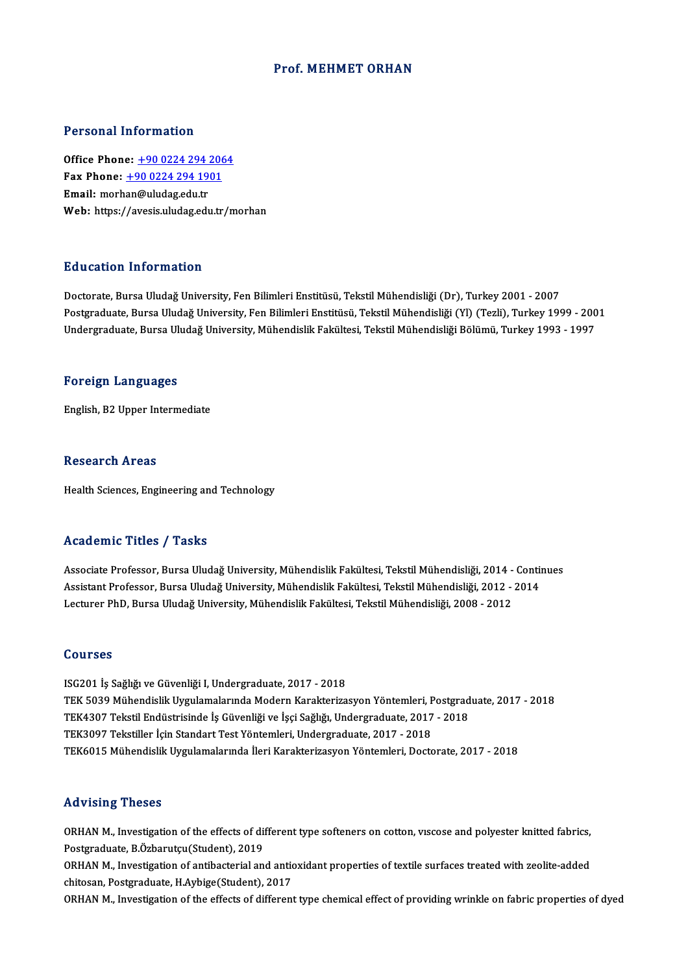## Prof. MEHMET ORHAN

## Personal Information

**Personal Information<br>Office Phone: <u>+90 0224 294 2064</u><br>Fax Phone: 190 0224 294 1901</u>** 1 0100111 1110111111011<br>0ffice Phone: <u>+90 0224 294 206</u><br>Fax Phone: <u>+90 0224 294 1901</u> Office Phone: <u>+90 0224 294 :</u><br>Fax Phone: <u>+90 0224 294 19</u><br>Email: morh[an@uludag.edu.tr](tel:+90 0224 294 1901) Fax Phone: <u>+90 0224 294 1901</u><br>Email: morhan@uludag.edu.tr<br>Web: https://avesis.uludag.edu.tr/morhan

## Education Information

Doctorate, Bursa Uludağ University, Fen Bilimleri Enstitüsü, Tekstil Mühendisliği (Dr), Turkey 2001 - 2007 Pu u custon "Mirot muston"<br>Doctorate, Bursa Uludağ University, Fen Bilimleri Enstitüsü, Tekstil Mühendisliği (Dr), Turkey 2001 - 2007<br>Undergraduate, Bursa Uludağ University, Fen Bilimleri Enstitüsü, Tekstil Mühendisliği (Y Doctorate, Bursa Uludağ University, Fen Bilimleri Enstitüsü, Tekstil Mühendisliği (Dr), Turkey 2001 - 2007<br>Postgraduate, Bursa Uludağ University, Fen Bilimleri Enstitüsü, Tekstil Mühendisliği (Yl) (Tezli), Turkey 1999 - 20 Undergraduate, Bursa Uludağ University, Mühendislik Fakültesi, Tekstil Mühendisliği Bölümü, Turkey 1993 - 1997<br>Foreign Languages

English,B2Upper Intermediate

### **Research Areas**

Health Sciences, Engineering and Technology

## Academic Titles / Tasks

Associate Professor, Bursa Uludağ University, Mühendislik Fakültesi, Tekstil Mühendisliği, 2014 - Continues Associate Professor, Bursa Uludağ University, Mühendislik Fakültesi, Tekstil Mühendisliği, 2014 - Contin<br>Assistant Professor, Bursa Uludağ University, Mühendislik Fakültesi, Tekstil Mühendisliği, 2012 - 2014<br>Lestuner PhD, Associate Professor, Bursa Uludağ University, Mühendislik Fakültesi, Tekstil Mühendisliği, 2014 -<br>Assistant Professor, Bursa Uludağ University, Mühendislik Fakültesi, Tekstil Mühendisliği, 2012 -<br>Lecturer PhD, Bursa Uludağ Lecturer PhD, Bursa Uludağ University, Mühendislik Fakültesi, Tekstil Mühendisliği, 2008 - 2012<br>Courses

ISG201 İş Sağlığı ve Güvenliği I, Undergraduate, 2017 - 2018 SSA1999<br>ISG201 İş Sağlığı ve Güvenliği I, Undergraduate, 2017 - 2018<br>TEK 5039 Mühendislik Uygulamalarında Modern Karakterizasyon Yöntemleri, Postgraduate, 2017 - 2018<br>TEK1207 Tekstil Endüstrisinde İs Güvenliği ve İssi Sağl ISG201 İş Sağlığı ve Güvenliği I, Undergraduate, 2017 - 2018<br>TEK 5039 Mühendislik Uygulamalarında Modern Karakterizasyon Yöntemleri, Postgrad<br>TEK4307 Tekstil Endüstrisinde İş Güvenliği ve İşçi Sağlığı, Undergraduate, 2017 TEK 5039 Mühendislik Uygulamalarında Modern Karakterizasyon Yöntemleri, F<br>TEK4307 Tekstil Endüstrisinde İş Güvenliği ve İşçi Sağlığı, Undergraduate, 2017<br>TEK3097 Tekstiller İçin Standart Test Yöntemleri, Undergraduate, 201 TEK4307 Tekstil Endüstrisinde İş Güvenliği ve İşçi Sağlığı, Undergraduate, 2017 - 2018<br>TEK3097 Tekstiller İçin Standart Test Yöntemleri, Undergraduate, 2017 - 2018<br>TEK6015 Mühendislik Uygulamalarında İleri Karakterizasyon

## Advising Theses

Advising Theses<br>ORHAN M., Investigation of the effects of different type softeners on cotton, vıscose and polyester knitted fabrics,<br>Restanaduate, B Örberutau(Student), 2019 Postgraduate, B.Özbarutçu(Student), 2019<br>Postgraduate, B.Özbarutçu(Student), 2019<br>OPHAN M. Investigation of ontibacterial an ORHAN M., Investigation of the effects of different type softeners on cotton, viscose and polyester knitted fabrics,<br>Postgraduate, B.Özbarutçu(Student), 2019<br>ORHAN M., Investigation of antibacterial and antioxidant propert

Postgraduate, B.Özbarutçu(Student), 2019<br>ORHAN M., Investigation of antibacterial and antic<br>chitosan, Postgraduate, H.Aybige(Student), 2017<br>OPHAN M. Investigation of the effects of different ORHAN M., Investigation of antibacterial and antioxidant properties of textile surfaces treated with zeolite-added<br>chitosan, Postgraduate, H.Aybige(Student), 2017<br>ORHAN M., Investigation of the effects of different type ch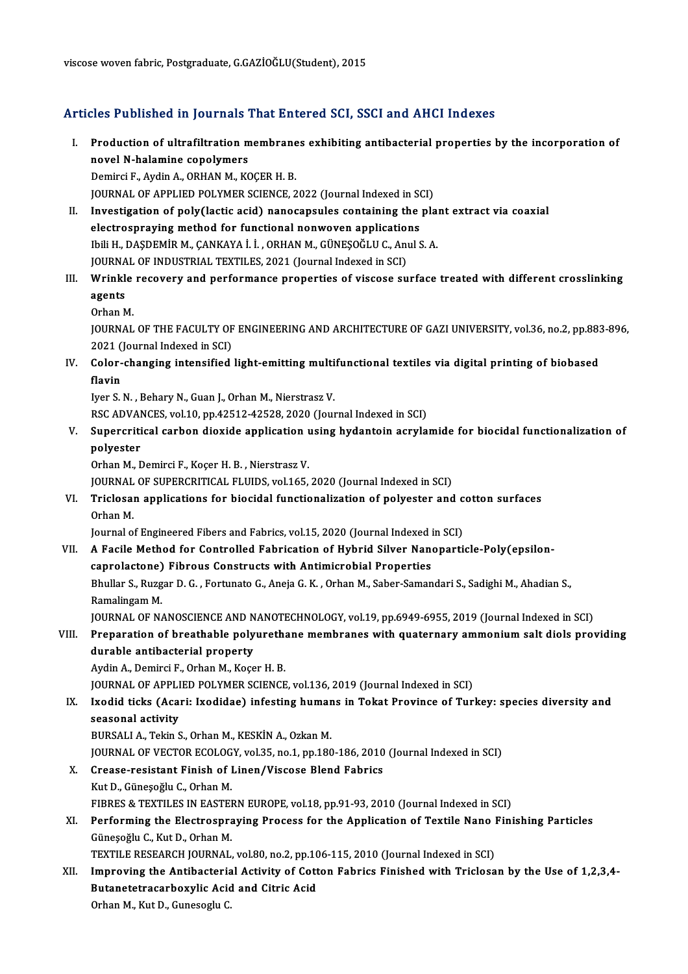viscose woven fabric, Postgraduate, G.GAZİOĞLU(Student), 2015

## Articles Published in Journals That Entered SCI, SSCI and AHCI Indexes

rticles Published in Journals That Entered SCI, SSCI and AHCI Indexes<br>I. Production of ultrafiltration membranes exhibiting antibacterial properties by the incorporation of<br>novel N belamine conclumers novel Abrience in Journales<br>Production of ultrafiltration m<br>novel N-halamine copolymers<br>Domirci E. Ardin A. OBHAN M. KG novel N-halamine copolymers<br>Demirci F., Aydin A., ORHAN M., KOÇER H. B. novel N-halamine copolymers<br>Demirci F., Aydin A., ORHAN M., KOÇER H. B.<br>JOURNAL OF APPLIED POLYMER SCIENCE, 2022 (Journal Indexed in SCI)<br>Investigation of poly(lestic asid) nonosansules containing the pla

- II. Investigation of poly(lactic acid) nanocapsules containing the plant extract via coaxial electrospraying method for functional nonwoven applications JOURNAL OF APPLIED POLYMER SCIENCE, 2022 (Journal Indexed in SO<br>Investigation of poly(lactic acid) nanocapsules containing the<br>electrospraying method for functional nonwoven applications<br>thii H. DASDEMIP M. CANKAYA LL OPHA Investigation of poly(lactic acid) nanocapsules containing the pla:<br>electrospraying method for functional nonwoven applications<br>Ibili H., DAŞDEMİR M., ÇANKAYA İ. İ. , ORHAN M., GÜNEŞOĞLU C., Anul S. A.<br>JOUPMAL OF INDUSTRIA electrospraying method for functional nonwoven application<br>Ibili H., DAŞDEMİR M., ÇANKAYA İ. İ. , ORHAN M., GÜNEŞOĞLU C., Ant<br>JOURNAL OF INDUSTRIAL TEXTILES, 2021 (Journal Indexed in SCI)<br>Wrinkle resevery and nerformanee p Ibili H., DAŞDEMİR M., ÇANKAYA İ. İ. , ORHAN M., GÜNEŞOĞLU C., Anul S. A.<br>JOURNAL OF INDUSTRIAL TEXTILES, 2021 (Journal Indexed in SCI)<br>III. Wrinkle recovery and performance properties of viscose surface treated with d
- JOURNAL OF INDUSTRIAL TEXTILES, 2021 (Journal Indexed in SCI)<br>Wrinkle recovery and performance properties of viscose su<br>agents<br>Orhan M. Wrinkle<br>agents<br>Orhan M.<br>JOUPNAJ
	-

agents<br>Orhan M.<br>JOURNAL OF THE FACULTY OF ENGINEERING AND ARCHITECTURE OF GAZI UNIVERSITY, vol.36, no.2, pp.883-896,<br>2021 (Journal Indoved in SCI) Orhan M.<br>JOURNAL OF THE FACULTY OF<br>2021 (Journal Indexed in SCI)<br>Seler shanging intensified JOURNAL OF THE FACULTY OF ENGINEERING AND ARCHITECTURE OF GAZI UNIVERSITY, vol.36, no.2, pp.883<br>2021 (Journal Indexed in SCI)<br>IV. Color-changing intensified light-emitting multifunctional textiles via digital printing of b

2021 (<br>Color-<br>flavin<br>Iver S

flavin<br>Iyer S. N. , Behary N., Guan J., Orhan M., Nierstrasz V. RSC ADVANCES, vol.10, pp.42512-42528, 2020 (Journal Indexed in SCI)

Iyer S. N. , Behary N., Guan J., Orhan M., Nierstrasz V.<br>RSC ADVANCES, vol.10, pp.42512-42528, 2020 (Journal Indexed in SCI)<br>V. Supercritical carbon dioxide application using hydantoin acrylamide for biocidal functiona RSC ADVAI<br>Supercriti<br>polyester<br>Orban M Supercritical carbon dioxide application<br>polyester<br>Orhan M., Demirci F., Koçer H. B. , Nierstrasz V.<br>JOUPNAL OF SUPERCRITICAL ELUIDS vol.165 polyester<br>Orhan M., Demirci F., Koçer H. B. , Nierstrasz V.<br>JOURNAL OF SUPERCRITICAL FLUIDS, vol.165, 2020 (Journal Indexed in SCI)

## Orhan M., Demirci F., Koçer H. B. , Nierstrasz V.<br>JOURNAL OF SUPERCRITICAL FLUIDS, vol.165, 2020 (Journal Indexed in SCI)<br>VI. Triclosan applications for biocidal functionalization of polyester and cotton surfaces<br>Orban JOURNAL<br>Triclosal<br>Orhan M.<br>Journal O Triclosan applications for biocidal functionalization of polyester and c<br>Orhan M.<br>Journal of Engineered Fibers and Fabrics, vol.15, 2020 (Journal Indexed in SCI)<br>A Fasile Method for Controlled Febrication of Urbrid Silver

## Orhan M.<br>Journal of Engineered Fibers and Fabrics, vol.15, 2020 (Journal Indexed in SCI)<br>VII. A Facile Method for Controlled Fabrication of Hybrid Silver Nanoparticle-Poly(epsilon-<br>conrolactore). Eibrous Constructs wit Journal of Engineered Fibers and Fabrics, vol.15, 2020 (Journal Indexed in Facile Method for Controlled Fabrication of Hybrid Silver Nano<br>Caprolactone) Fibrous Constructs with Antimicrobial Properties<br>Phyllar S. Bugger D. A Facile Method for Controlled Fabrication of Hybrid Silver Nanoparticle-Poly(epsilon-<br>caprolactone) Fibrous Constructs with Antimicrobial Properties<br>Bhullar S., Ruzgar D. G. , Fortunato G., Aneja G. K. , Orhan M., Saber-S caprolactone) Fibrous Constructs with Antimicrobial Properties<br>Bhullar S., Ruzgar D. G., Fortunato G., Aneja G. K., Orhan M., Saber-Samandari S., Sadighi M., Ahadian S.,<br>Ramalingam M.

JOURNAL OF NANOSCIENCE AND NANOTECHNOLOGY, vol.19, pp.6949-6955, 2019 (Journal Indexed in SCI)

## Ramalingam M.<br>JOURNAL OF NANOSCIENCE AND NANOTECHNOLOGY, vol.19, pp.6949-6955, 2019 (Journal Indexed in SCI)<br>VIII. Preparation of breathable polyurethane membranes with quaternary ammonium salt diols providing<br>durable anti JOURNAL OF NANOSCIENCE AND N<br>Preparation of breathable poly<br>durable antibacterial property<br>Audin A. Domirsi E. Orban M. Koss Preparation of breathable polyureth:<br>durable antibacterial property<br>Aydin A., Demirci F., Orhan M., Koçer H. B.<br>JOUPNAL OF APPLIED POLYMER SCIENCE

durable antibacterial property<br>Aydin A., Demirci F., Orhan M., Koçer H. B.<br>JOURNAL OF APPLIED POLYMER SCIENCE, vol.136, 2019 (Journal Indexed in SCI)

Aydin A., Demirci F., Orhan M., Koçer H. B.<br>JOURNAL OF APPLIED POLYMER SCIENCE, vol.136, 2019 (Journal Indexed in SCI)<br>IX. Ixodid ticks (Acari: Ixodidae) infesting humans in Tokat Province of Turkey: species diversity and<br> **JOURNAL OF APPLI**<br>Ixodid ticks (Acar<br>seasonal activity<br>PUPSALLA .Tokin S Ixodid ticks (Acari: Ixodidae) infesting humar<br>seasonal activity<br>BURSALI A., Tekin S., Orhan M., KESKİN A., Ozkan M.<br>JOUPMAL OF VECTOP ECOLOCY vol 35 no 1 nn 190 seasonal activity<br>BURSALI A., Tekin S., Orhan M., KESKİN A., Ozkan M.<br>JOURNAL OF VECTOR ECOLOGY, vol.35, no.1, pp.180-186, 2010 (Journal Indexed in SCI)<br>Crease, resistant Einish of Linen (Vissese Pland Fehries

BURSALI A., Tekin S., Orhan M., KESKİN A., Ozkan M.<br>JOURNAL OF VECTOR ECOLOGY, vol.35, no.1, pp.180-186, 2010<br>X. Crease-resistant Finish of Linen/Viscose Blend Fabrics<br>Kut D., Güneşoğlu C., Orhan M.

**JOURNAL OF VECTOR ECOLOG<br>Crease-resistant Finish of I<br>Kut D., Güneşoğlu C., Orhan M.<br>FIRDES & TEYTH ES IN FASTEI** Crease-resistant Finish of Linen/Viscose Blend Fabrics<br>Kut D., Güneşoğlu C., Orhan M.<br>FIBRES & TEXTILES IN EASTERN EUROPE, vol.18, pp.91-93, 2010 (Journal Indexed in SCI)<br>Performing the Electrosproving Process for the Appl Kut D., Güneşoğlu C., Orhan M.<br>FIBRES & TEXTILES IN EASTERN EUROPE, vol.18, pp.91-93, 2010 (Journal Indexed in SCI)<br>XI. Performing the Electrospraying Process for the Application of Textile Nano Finishing Particles<br>Cüneseğ

# FIBRES & TEXTILES IN EASTER<br>Performing the Electrospra<br>Güneşoğlu C., Kut D., Orhan M.<br>TEYTU E RESEARCH JOURNAL Performing the Electrospraying Process for the Application of Textile Nano 1<br>Güneşoğlu C., Kut D., Orhan M.<br>TEXTILE RESEARCH JOURNAL, vol.80, no.2, pp.106-115, 2010 (Journal Indexed in SCI)<br>Improving the Antibectorial Acti

Güneşoğlu C., Kut D., Orhan M.<br>TEXTILE RESEARCH JOURNAL, vol.80, no.2, pp.106-115, 2010 (Journal Indexed in SCI)<br>XII. Improving the Antibacterial Activity of Cotton Fabrics Finished with Triclosan by the Use of 1,2,3,4-<br>Bu TEXTILE RESEARCH JOURNAL, vol.80, no.2, pp.10<br>Improving the Antibacterial Activity of Cott<br>Butanetetracarboxylic Acid and Citric Acid<br>Orban M. Kut D. Gunssaghu G I<mark>mproving the Antibacteria</mark><br>Butanetetracarboxylic Acid<br>Orhan M., Kut D., Gunesoglu C.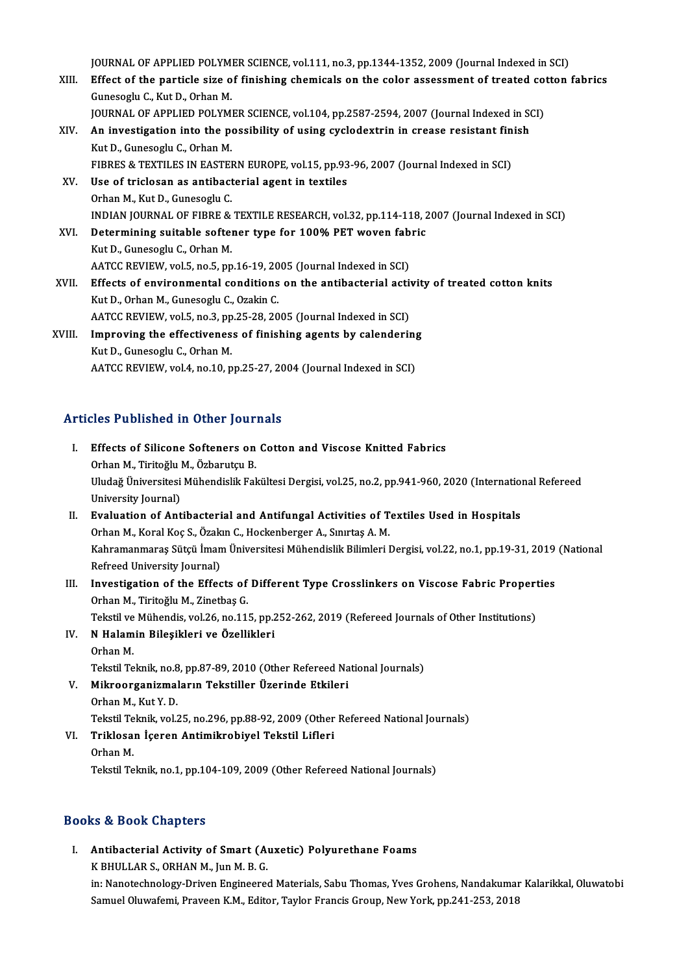JOURNAL OF APPLIED POLYMER SCIENCE, vol.111, no.3, pp.1344-1352, 2009 (Journal Indexed in SCI)<br>Fffect of the porticle size of finishing shamicals on the salar assessment of treated setten

- JOURNAL OF APPLIED POLYMER SCIENCE, vol.111, no.3, pp.1344-1352, 2009 (Journal Indexed in SCI)<br>XIII. Effect of the particle size of finishing chemicals on the color assessment of treated cotton fabrics JOURNAL OF APPLIED POLYMERT<br>Effect of the particle size of<br>Gunesoglu C., Kut D., Orhan M.<br>JOURNAL OF APPLIED POLYME Effect of the particle size of finishing chemicals on the color assessment of treated co<br>Gunesoglu C., Kut D., Orhan M.<br>JOURNAL OF APPLIED POLYMER SCIENCE, vol.104, pp.2587-2594, 2007 (Journal Indexed in SCI) Gunesoglu C., Kut D., Orhan M.<br>JOURNAL OF APPLIED POLYMER SCIENCE, vol.104, pp.2587-2594, 2007 (Journal Indexed in St<br>XIV. An investigation into the possibility of using cyclodextrin in crease resistant finish<br>Kut D. Cunes **JOURNAL OF APPLIED POLYM.<br>An investigation into the polyment**<br>Kut D., Gunesoglu C., Orhan M.<br>FIRDES & TEVTH ES IN FASTEL An investigation into the possibility of using cyclodextrin in crease resistant fin<br>Kut D., Gunesoglu C., Orhan M.<br>FIBRES & TEXTILES IN EASTERN EUROPE, vol.15, pp.93-96, 2007 (Journal Indexed in SCI)<br>Hee of tricleson as an Kut D., Gunesoglu C., Orhan M.<br>FIBRES & TEXTILES IN EASTERN EUROPE, vol.15, pp.93<br>XV. Use of triclosan as antibacterial agent in textiles<br>Orhan M., Kut D., Gunesoglu C. FIBRES & TEXTILES IN EASTERN EUROPE, vol.15, pp.93-96, 2007 (Journal Indexed in SCI) Use of triclosan as antibacterial agent in textiles<br>Orhan M., Kut D., Gunesoglu C.<br>INDIAN JOURNAL OF FIBRE & TEXTILE RESEARCH, vol.32, pp.114-118, 2007 (Journal Indexed in SCI)<br>Determining suitable seftener type for 190% B Orhan M., Kut D., Gunesoglu C.<br>INDIAN JOURNAL OF FIBRE & TEXTILE RESEARCH, vol.32, pp.114-118, 2<br>XVI. Determining suitable softener type for 100% PET woven fabric<br>Kut D. Cunesoglu G. Orhan M INDIAN JOURNAL OF FIBRE &<br>Determining suitable softer<br>Kut D., Gunesoglu C., Orhan M.<br>AATCC BEVIEW. vol 5, no 5, nn Determining suitable softener type for 100% PET woven fab<br>Kut D., Gunesoglu C., Orhan M.<br>AATCC REVIEW, vol.5, no.5, pp.16-19, 2005 (Journal Indexed in SCI)<br>Effects of environmental conditions on the antibectorial activ Kut D., Gunesoglu C., Orhan M.<br>AATCC REVIEW, vol.5, no.5, pp.16-19, 2005 (Journal Indexed in SCI)<br>XVII. Effects of environmental conditions on the antibacterial activity of treated cotton knits<br>Kut D. Orban M. Gunessglu G. AATCC REVIEW, vol.5, no.5, pp.16-19, 20<br>Effects of environmental conditions<br>Kut D., Orhan M., Gunesoglu C., Ozakin C.<br>AATCC BEVIEW, vol.5, no.2, np.35, 38, 30 Effects of environmental conditions on the antibacterial activity.<br>Kut D., Orhan M., Gunesoglu C., Ozakin C.<br>AATCC REVIEW, vol.5, no.3, pp.25-28, 2005 (Journal Indexed in SCI)<br>Improving the effectivenese of finishing egent Kut D., Orhan M., Gunesoglu C., Ozakin C.<br>AATCC REVIEW, vol.5, no.3, pp.25-28, 2005 (Journal Indexed in SCI)<br>XVIII. Improving the effectiveness of finishing agents by calendering<br>V.y.t.D. Cunessely C. Orban M. AATCC REVIEW, vol.5, no.3, pp<br>Improving the effectivenes<br>Kut D., Gunesoglu C., Orhan M.<br>AATCC BEVIEW, vol.4, no.10, n
- I<mark>mproving the effectiveness of finishing agents by calenderin</mark><br>Kut D., Gunesoglu C., Orhan M.<br>AATCC REVIEW, vol.4, no.10, pp.25-27, 2004 (Journal Indexed in SCI) AATCC REVIEW, vol.4, no.10, pp.25-27, 2004 (Journal Indexed in SCI)<br>Articles Published in Other Journals

- rticles Published in Other Journals<br>I. Effects of Silicone Softeners on Cotton and Viscose Knitted Fabrics<br>Orban M. Tiritoğlu M. Örbanutçu P. SES 1 denonca in cenci jour.<br>Effects of Silicone Softeners on<br>Orhan M., Tiritoğlu M., Özbarutçu B.<br>Uludağ Üniversitesi Mühandislik Fal Effects of Silicone Softeners on Cotton and Viscose Knitted Fabrics<br>Orhan M., Tiritoğlu M., Özbarutçu B.<br>Uludağ Üniversitesi Mühendislik Fakültesi Dergisi, vol.25, no.2, pp.941-960, 2020 (International Refereed<br>University Orhan M., Tiritoğlu l<br>Uludağ Üniversitesi<br>University Journal)<br>Evaluation of Ant Uludağ Üniversitesi Mühendislik Fakültesi Dergisi, vol.25, no.2, pp.941-960, 2020 (Internatio:<br>University Journal)<br>II. Evaluation of Antibacterial and Antifungal Activities of Textiles Used in Hospitals<br>Orban M. Koral Kos University Journal)<br>II. Evaluation of Antibacterial and Antifungal Activities of Textiles Used in Hospitals<br>Orhan M., Koral Koç S., Özakın C., Hockenberger A., Sınırtaş A. M.
- Evaluation of Antibacterial and Antifungal Activities of Textiles Used in Hospitals<br>Orhan M., Koral Koç S., Özakın C., Hockenberger A., Sınırtaş A. M.<br>Kahramanmaraş Sütçü İmam Üniversitesi Mühendislik Bilimleri Dergisi, vo Orhan M., Koral Koç S., Özak<br>Kahramanmaraş Sütçü İman<br>Refreed University Journal)<br>Investisation of the Effee Kahramanmaraș Sütçü İmam Üniversitesi Mühendislik Bilimleri Dergisi, vol.22, no.1, pp.19-31, 2019<br>Refreed University Journal)<br>III. Investigation of the Effects of Different Type Crosslinkers on Viscose Fabric Properties<br>Or
- Refreed University Journal)<br>Investigation of the Effects of<br>Orhan M., Tiritoğlu M., Zinetbaş G.<br>Tekstil ve Mühandia val 26 na 111 Investigation of the Effects of Different Type Crosslinkers on Viscose Fabric Propert<br>Orhan M., Tiritoğlu M., Zinetbaş G.<br>Tekstil ve Mühendis, vol.26, no.115, pp.252-262, 2019 (Refereed Journals of Other Institutions)<br>N.Ha Orhan M., Tiritoğlu M., Zinetbaş G.<br>Tekstil ve Mühendis, vol.26, no.115, pp.<br>IV. N Halamin Bileşikleri ve Özellikleri<br>Orban M

Tekstil ve<br><mark>N Halam</mark><br>Orhan M.<br>Tekstil Te Orhan M.<br>Tekstil Teknik, no.8, pp.87-89, 2010 (Other Refereed National Journals) Orhan M.<br>Tekstil Teknik, no.8, pp.87-89, 2010 (Other Refereed Na<br>V. Mikroorganizmaların Tekstiller Üzerinde Etkileri<br>Orhan M. Kut V. D. Tekstil Teknik, no.8<br>Mikroorganizmal<br>Orhan M., Kut Y. D.<br>Tekstil Teknik, vol.?

Orhan M., Kut Y. D.<br>Tekstil Teknik, vol.25, no.296, pp.88-92, 2009 (Other Refereed National Journals)

Orhan M., Kut Y. D.<br>Tekstil Teknik, vol.25, no.296, pp.88-92, 2009 (Other<br>VI. Triklosan İçeren Antimikrobiyel Tekstil Lifleri<br>Orhan M Tekstil Te<br><mark>Triklosa</mark><br>Orhan M.<br>Tekstil Te Orhan M.<br>Tekstil Teknik, no.1, pp.104-109, 2009 (Other Refereed National Journals)

## Books&Book Chapters

I. Antibacterial Activity of Smart (Auxetic) Polyurethane Foams K BHULLAR S., ORHAN M., Jun M. B. G. Antibacterial Activity of Smart (Auxetic) Polyurethane Foams<br>K BHULLAR S., ORHAN M., Jun M. B. G.<br>in: Nanotechnology-Driven Engineered Materials, Sabu Thomas, Yves Grohens, Nandakumar Kalarikkal, Oluwatobi<br>Samuel Olyunfomi K BHULLAR S., ORHAN M., Jun M. B. G.<br>in: Nanotechnology-Driven Engineered Materials, Sabu Thomas, Yves Grohens, Nandakumar<br>Samuel Oluwafemi, Praveen K.M., Editor, Taylor Francis Group, New York, pp.241-253, 2018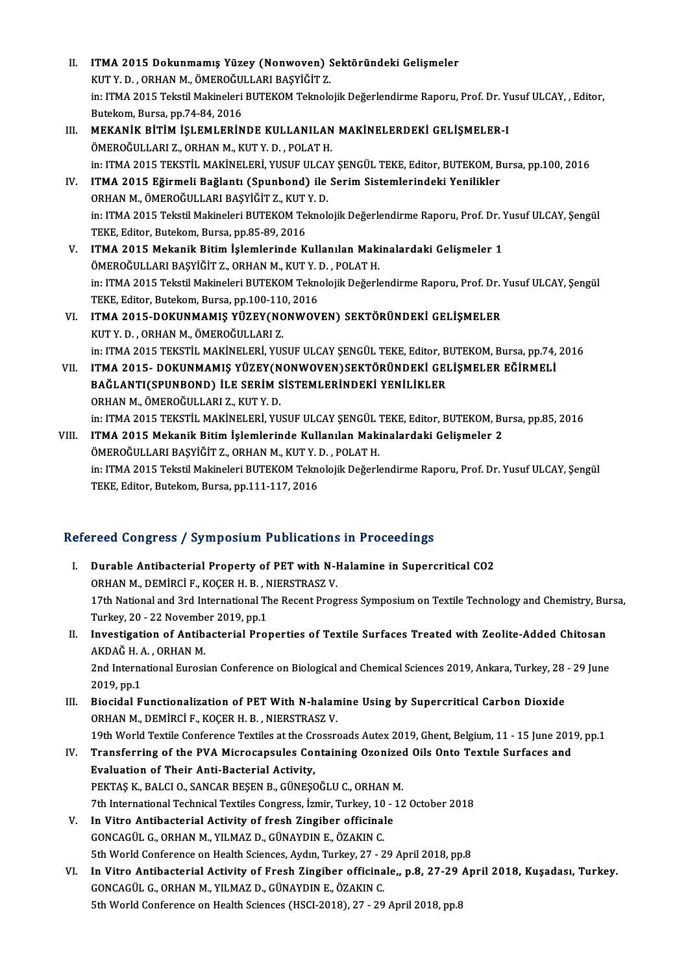- II. ITMA 2015 Dokunmamış Yüzey (Nonwoven) Sektöründeki Gelişmeler<br>KUT V D. OPHAN M. ÖMEROČIJI LARI BASYİĞİT Z ITMA 2015 Dokunmamış Yüzey (Nonwoven) S<br>KUT Y. D. , ORHAN M., ÖMEROĞULLARI BAŞYİĞİT Z.<br>in: ITMA 2015 Tekstil Makineleri BUTEKOM Teknele in: ITMA 2015 Tekstil Makineleri BUTEKOM Teknolojik Değerlendirme Raporu, Prof. Dr. Yusuf ULCAY, , Editor,<br>Butekom, Bursa, pp.74-84, 2016 KUT Y. D., ORHAN M., ÖMEROĞULLARI BAŞYIĞİT Z.
- III. MEKANİK BİTİM İŞLEMLERİNDE KULLANILAN MAKİNELERDEKİ GELİŞMELER-I ÖMEROĞULLARIZ., ORHAN M., KUTY.D., POLATH. MEKANİK BİTİM İŞLEMLERİNDE KULLANILAN MAKİNELERDEKİ GELİŞMELER-I<br>ÖMEROĞULLARI Z., ORHAN M., KUT Y. D. , POLAT H.<br>in: ITMA 2015 TEKSTİL MAKİNELERİ, YUSUF ULCAY ŞENGÜL TEKE, Editor, BUTEKOM, Bursa, pp.100, 2016<br>ITMA 2015 Eği ÖMEROĞULLARI Z., ORHAN M., KUT Y. D. , POLAT H.<br>in: ITMA 2015 TEKSTİL MAKİNELERİ, YUSUF ULCAY ŞENGÜL TEKE, Editor, BUTEKOM, B<br>IV. ITMA 2015 Eğirmeli Bağlantı (Spunbond) ile Serim Sistemlerindeki Yenilikler<br>OPHAN M. ÖMEROĞU
- in: ITMA 2015 TEKSTİL MAKİNELERİ, YUSUF ULCA<br>ITMA 2015 Eğirmeli Bağlantı (Spunbond) ile<br>ORHAN M., ÖMEROĞULLARI BAŞYİĞİT Z., KUT Y. D.<br>in: ITMA 2015 Tekstil Makineleri BUTEKOM Teknel ITMA 2015 Eğirmeli Bağlantı (Spunbond) ile Serim Sistemlerindeki Yenilikler<br>ORHAN M., ÖMEROĞULLARI BAŞYİĞİT Z., KUT Y. D.<br>in: ITMA 2015 Tekstil Makineleri BUTEKOM Teknolojik Değerlendirme Raporu, Prof. Dr. Yusuf ULCAY, Şen ORHAN M., ÖMEROĞULLARI BAŞYİĞİT Z., KUT<br>in: ITMA 2015 Tekstil Makineleri BUTEKOM Te<br>TEKE, Editor, Butekom, Bursa, pp.85-89, 2016<br>ITMA 2015 Makanik, Bitim, İslamlarında K in: ITMA 2015 Tekstil Makineleri BUTEKOM Teknolojik Değerlendirme Raporu, Prof. Dr. 1<br>TEKE, Editor, Butekom, Bursa, pp.85-89, 2016<br>V. ITMA 2015 Mekanik Bitim İşlemlerinde Kullanılan Makinalardaki Gelişmeler 1<br>ÖMEPOČULLARI
- TEKE, Editor, Butekom, Bursa, pp.85-89, 2016<br>V. ITMA 2015 Mekanik Bitim İşlemlerinde Kullanılan Makinalardaki Gelişmeler 1<br>ÖMEROĞULLARI BAŞYİĞİT Z., ORHAN M., KUT Y. D. , POLAT H. ITMA 2015 Mekanik Bitim İşlemlerinde Kullanılan Makinalardaki Gelişmeler 1<br>ÖMEROĞULLARI BAŞYİĞİT Z., ORHAN M., KUT Y. D. , POLAT H.<br>in: ITMA 2015 Tekstil Makineleri BUTEKOM Teknolojik Değerlendirme Raporu, Prof. Dr. Yusuf ÖMEROĞULLARI BAŞYİĞİT Z., ORHAN M., KUT Y. I<br>in: ITMA 2015 Tekstil Makineleri BUTEKOM Tekn<br>TEKE, Editor, Butekom, Bursa, pp.100-110, 2016<br>ITMA 2015 DOKUNMAMIS YÜZEY(NONWOV in: ITMA 2015 Tekstil Makineleri BUTEKOM Teknolojik Değerlendirme Raporu, Prof. Dr. Y<br>TEKE, Editor, Butekom, Bursa, pp.100-110, 2016<br>VI. ITMA 2015-DOKUNMAMIŞ YÜZEY(NONWOVEN) SEKTÖRÜNDEKİ GELİŞMELER<br>KUT V. D. ORHAN M. ÖMERO
- TEKE, Editor, Butekom, Bursa, pp.100-11<br>ITMA 2015-DOKUNMAMIŞ YÜZEY(NC<br>KUT Y. D. , ORHAN M., ÖMEROĞULLARI Z.<br>in: ITMA 2015 TEKSTİL MAKİNELERİ YUS KUT Y. D. , ORHAN M., ÖMEROĞULLARI Z.<br>in: ITMA 2015 TEKSTİL MAKİNELERİ, YUSUF ULCAY SENGÜL TEKE, Editor, BUTEKOM, Bursa, pp.74, 2016 VI . ITMA 2015- DOKUNMAMIŞ YÜZEY(NONWOVEN)SEKTÖRÜNDEKİ GELİŞMELER EĞİRMELİ
- in: ITMA 2015 TEKSTİL MAKİNELERİ, YUSUF ULCAY ŞENGÜL TEKE, Editor, B<br>ITMA 2015- DOKUNMAMIŞ YÜZEY(NONWOVEN)SEKTÖRÜNDEKİ GEI<br>BAĞLANTI(SPUNBOND) İLE SERİM SİSTEMLERİNDEKİ YENİLİKLER<br>OPHANM ÖMEROĞULLARI 7, KUT V D ITMA 2015- DOKUNMAMIŞ YÜZEY(N<br>BAĞLANTI(SPUNBOND) İLE SERİM S<br>ORHAN M., ÖMEROĞULLARI Z., KUT Y. D.<br>in: ITMA 2015 TEKSTİL MAKİNELEDİ YU BAĞLANTI(SPUNBOND) İLE SERİM SİSTEMLERİNDEKİ YENİLİKLER<br>ORHAN M., ÖMEROĞULLARI Z., KUT Y. D.<br>in: ITMA 2015 TEKSTİL MAKİNELERİ, YUSUF ULCAY ŞENGÜL TEKE, Editor, BUTEKOM, Bursa, pp.85, 2016 ORHAN M., ÖMEROĞULLARI Z., KUT Y. D.<br>in: ITMA 2015 TEKSTİL MAKİNELERİ, YUSUF ULCAY ŞENGÜL TEKE, Editor, BUTEKOM, B.<br>VIII. ITMA 2015 Mekanik Bitim İşlemlerinde Kullanılan Makinalardaki Gelişmeler 2
- in: ITMA 2015 TEKSTİL MAKİNELERİ, YUSUF ULCAY ŞENGÜL<br>ITMA 2015 Mekanik Bitim İşlemlerinde Kullanılan Maki<br>ÖMEROĞULLARI BAŞYİĞİT Z., ORHAN M., KUT Y. D. , POLAT H.<br>in: ITMA 2015 Tekstil Makineleri BUTEKOM Teknelejik Değerk in: ITMA 2015 Tekstil Makineleri BUTEKOM Teknolojik Değerlendirme Raporu, Prof. Dr. Yusuf ULCAY, Şengül<br>TEKE, Editor, Butekom, Bursa, pp.111-117, 2016 ÖMEROĞULLARI BAŞYİĞİT Z., ORHAN M., KUT Y. D., POLAT H.

## Refereed Congress / Symposium Publications in Proceedings

efereed Congress / Symposium Publications in Proceedings<br>I. Durable Antibacterial Property of PET with N-Halamine in Supercritical CO2<br>OPHAN M. DEMIRCLE, KOCER H. B. NIERSTRASZ V. OCC COMET COOP OF MILLENDIA TREATIONS.<br>Durable Antibacterial Property of PET with N-HORHAN M., DEMIRCÍ F., KOÇER H. B., NIERSTRASZ V.<br>17th National and 2rd International The Becent Breat 17th National and 3rd International The Recent Progress Symposium on Textile Technology and Chemistry, Bursa,<br>Turkey, 20 - 22 November 2019, pp.1 ORHAN M., DEMIRCI F., KOÇER H. B., NIERSTRASZ V. 17th National and 3rd International The Recent Progress Symposium on Textile Technology and Chemistry, Bu<br>Turkey, 20 - 22 November 2019, pp.1<br>II. Investigation of Antibacterial Properties of Textile Surfaces Treated with Z Turkey, 20 - 22 November<br><mark>Investigation of Antib</mark><br>AKDAĞ H. A. , ORHAN M.<br>2nd International Euresi Investigation of Antibacterial Properties of Textile Surfaces Treated with Zeolite-Added Chitosan<br>AKDAĞ H. A. , ORHAN M.<br>2nd International Eurosian Conference on Biological and Chemical Sciences 2019, Ankara, Turkey, 28 -

AKDAĞ H. A. , ORHAN M.<br>2nd International Eurosian Conference on Biological and Chemical Sciences 2019, Ankara, Turkey, 28 - 29 June<br>2019, pp.1

- III. Biocidal Functionalization of PET With N-halamine Using by Supercritical Carbon Dioxide ORHAN M., DEMİRCİ F., KOÇER H. B., NIERSTRASZ V. 19th World Textile Conference Textiles at the Crossroads Autex 2019, Ghent, Belgium, 11 - 15 June 2019, pp.1 ORHAN M., DEMIRCI F., KOÇER H. B. , NIERSTRASZ V.<br>19th World Textile Conference Textiles at the Crossroads Autex 2019, Ghent, Belgium, 11 - 15 June 201<br>IV. Transferring of the PVA Microcapsules Containing Ozonized Oils Ont
- 19th World Textile Conference Textiles at the Cr<br>Transferring of the PVA Microcapsules Conference Control<br>Evaluation of Their Anti-Bacterial Activity,<br>REVTAS V, PALCLO, SANGAR RESEN P, CÜNESC Transferring of the PVA Microcapsules Containing Ozonized<br>Evaluation of Their Anti-Bacterial Activity,<br>PEKTAŞ K., BALCI O., SANCAR BEŞEN B., GÜNEŞOĞLU C., ORHAN M.<br>7th International Technical Textiles Congress, İrmin Turke Evaluation of Their Anti-Bacterial Activity,<br>PEKTAŞ K., BALCI O., SANCAR BEŞEN B., GÜNEŞOĞLU C., ORHAN M.<br>7th International Technical Textiles Congress, İzmir, Turkey, 10 - 12 October 2018<br>In Vitre Antibastarial Astivity o PEKTAŞ K., BALCI O., SANCAR BEŞEN B., GÜNEŞOĞLU C., ORHAN M<br>7th International Technical Textiles Congress, İzmir, Turkey, 10 -<br>V. In Vitro Antibacterial Activity of fresh Zingiber officinale<br>CONCACÜL C. OPHAN M. VILMAZ D.
- 7th International Technical Textiles Congress, İzmir, Turkey, 10<br>In Vitro Antibacterial Activity of fresh Zingiber officinal<br>GONCAGÜL G., ORHAN M., YILMAZ D., GÜNAYDIN E., ÖZAKIN C.<br>Eth Werld Conference en Health Sciences, V. In Vitro Antibacterial Activity of fresh Zingiber officinale<br>GONCAGÜL G., ORHAN M., YILMAZ D., GÜNAYDIN E., ÖZAKIN C.<br>5th World Conference on Health Sciences, Aydın, Turkey, 27 - 29 April 2018, pp.8
- GONCAGÜL G., ORHAN M., YILMAZ D., GÜNAYDIN E., ÖZAKIN C.<br>5th World Conference on Health Sciences, Aydın, Turkey, 27 29 April 2018, pp.8<br>VI. In Vitro Antibacterial Activity of Fresh Zingiber officinale,, p.8, 27-29 April GONCAGÜL G., ORHAN M., YILMAZ D., GÜNAYDIN E., ÖZAKIN C.<br>5th World Conference on Health Sciences (HSCI-2018), 27 - 29 April 2018, pp.8 In Vitro Antibacterial Activity of Fresh Zingiber officinale,, p.8, 27-29 .<br>GONCAGÜL G., ORHAN M., YILMAZ D., GÜNAYDIN E., ÖZAKIN C.<br>5th World Conference on Health Sciences (HSCI-2018), 27 - 29 April 2018, pp.8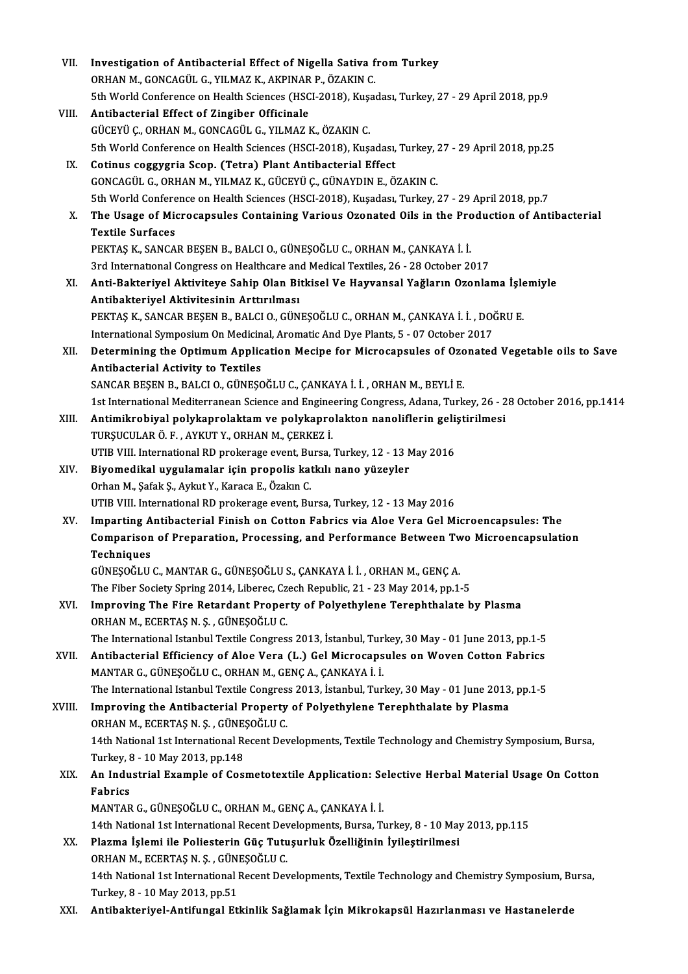| VII.   | Investigation of Antibacterial Effect of Nigella Sativa from Turkey                                                                |
|--------|------------------------------------------------------------------------------------------------------------------------------------|
|        | ORHAN M., GONCAGÜL G., YILMAZ K., AKPINAR P., ÖZAKIN C.                                                                            |
|        | 5th World Conference on Health Sciences (HSCI-2018), Kuşadası, Turkey, 27 - 29 April 2018, pp.9                                    |
| VIII.  | Antibacterial Effect of Zingiber Officinale                                                                                        |
|        | GÜCEYÜ Ç., ORHAN M., GONCAGÜL G., YILMAZ K., ÖZAKIN C.                                                                             |
|        | 5th World Conference on Health Sciences (HSCI-2018), Kuşadası, Turkey, 27 - 29 April 2018, pp.25                                   |
| IX.    | Cotinus coggygria Scop. (Tetra) Plant Antibacterial Effect                                                                         |
|        | GONCAGÜL G., ORHAN M., YILMAZ K., GÜCEYÜ Ç., GÜNAYDIN E., ÖZAKIN C.                                                                |
|        | 5th World Conference on Health Sciences (HSCI-2018), Kuşadası, Turkey, 27 - 29 April 2018, pp.7                                    |
| X.     | The Usage of Microcapsules Containing Various Ozonated Oils in the Production of Antibacterial                                     |
|        | <b>Textile Surfaces</b>                                                                                                            |
|        | PEKTAŞ K., SANCAR BEŞEN B., BALCI O., GÜNEŞOĞLU C., ORHAN M., ÇANKAYA İ. İ.                                                        |
|        | 3rd International Congress on Healthcare and Medical Textiles, 26 - 28 October 2017                                                |
|        |                                                                                                                                    |
| XI.    | Anti-Bakteriyel Aktiviteye Sahip Olan Bitkisel Ve Hayvansal Yağların Ozonlama İşlemiyle                                            |
|        | Antibakteriyel Aktivitesinin Arttırılması<br>PEKTAŞ K., SANCAR BEŞEN B., BALCI O., GÜNEŞOĞLU C., ORHAN M., ÇANKAYA İ. İ., DOĞRU E. |
|        |                                                                                                                                    |
|        | International Symposium On Medicinal, Aromatic And Dye Plants, 5 - 07 October 2017                                                 |
| XII.   | Determining the Optimum Application Mecipe for Microcapsules of Ozonated Vegetable oils to Save                                    |
|        | Antibacterial Activity to Textiles                                                                                                 |
|        | SANCAR BEŞEN B., BALCI O., GÜNEŞOĞLU C., ÇANKAYA İ. İ., ORHAN M., BEYLİ E.                                                         |
|        | 1st International Mediterranean Science and Engineering Congress, Adana, Turkey, 26 - 28 October 2016, pp.1414                     |
| XIII.  | Antimikrobiyal polykaprolaktam ve polykaprolakton nanoliflerin geliştirilmesi                                                      |
|        | TURŞUCULAR Ö. F., AYKUT Y., ORHAN M., ÇERKEZ İ.                                                                                    |
|        | UTIB VIII. International RD prokerage event, Bursa, Turkey, 12 - 13 May 2016                                                       |
| XIV.   | Biyomedikal uygulamalar için propolis katkılı nano yüzeyler<br>Orhan M., Şafak Ş., Aykut Y., Karaca E., Özakın C.                  |
|        | UTIB VIII. International RD prokerage event, Bursa, Turkey, 12 - 13 May 2016                                                       |
| XV.    | Imparting Antibacterial Finish on Cotton Fabrics via Aloe Vera Gel Microencapsules: The                                            |
|        | Comparison of Preparation, Processing, and Performance Between Two Microencapsulation                                              |
|        | Techniques                                                                                                                         |
|        | GÜNEŞOĞLU C., MANTAR G., GÜNEŞOĞLU S., ÇANKAYA İ. İ., ORHAN M., GENÇ A.                                                            |
|        | The Fiber Society Spring 2014, Liberec, Czech Republic, 21 - 23 May 2014, pp.1-5                                                   |
| XVI.   | Improving The Fire Retardant Property of Polyethylene Terephthalate by Plasma                                                      |
|        | ORHAN M., ECERTAȘ N. Ș., GÜNEȘOĞLU C.                                                                                              |
|        | The International Istanbul Textile Congress 2013, İstanbul, Turkey, 30 May - 01 June 2013, pp.1-5                                  |
| XVII.  | Antibacterial Efficiency of Aloe Vera (L.) Gel Microcapsules on Woven Cotton Fabrics                                               |
|        | MANTAR G., GÜNEŞOĞLU C., ORHAN M., GENÇ A., ÇANKAYA İ. İ.                                                                          |
|        | The International Istanbul Textile Congress 2013, İstanbul, Turkey, 30 May - 01 June 2013, pp.1-5                                  |
| XVIII. | Improving the Antibacterial Property of Polyethylene Terephthalate by Plasma                                                       |
|        | ORHAN M., ECERTAȘ N. Ș., GÜNEȘOĞLU C.                                                                                              |
|        | 14th National 1st International Recent Developments, Textile Technology and Chemistry Symposium, Bursa,                            |
|        | Turkey, 8 - 10 May 2013, pp 148                                                                                                    |
| XIX.   | An Industrial Example of Cosmetotextile Application: Selective Herbal Material Usage On Cotton                                     |
|        | Fabrics                                                                                                                            |
|        | MANTAR G., GÜNEŞOĞLU C., ORHAN M., GENÇ A., ÇANKAYA İ. İ.                                                                          |
|        | 14th National 1st International Recent Developments, Bursa, Turkey, 8 - 10 May 2013, pp.115                                        |
|        |                                                                                                                                    |
| XX.    | Plazma İşlemi ile Poliesterin Güç Tutuşurluk Özelliğinin İyileştirilmesi<br>ORHAN M., ECERTAȘ N. Ș., GÜNEȘOĞLU C.                  |
|        |                                                                                                                                    |
|        | 14th National 1st International Recent Developments, Textile Technology and Chemistry Symposium, Bursa,                            |
|        | Turkey, 8 - 10 May 2013, pp.51<br>Antibakteriyel-Antifungal Etkinlik Sağlamak İçin Mikrokapsül Hazırlanması ve Hastanelerde        |
| XXI.   |                                                                                                                                    |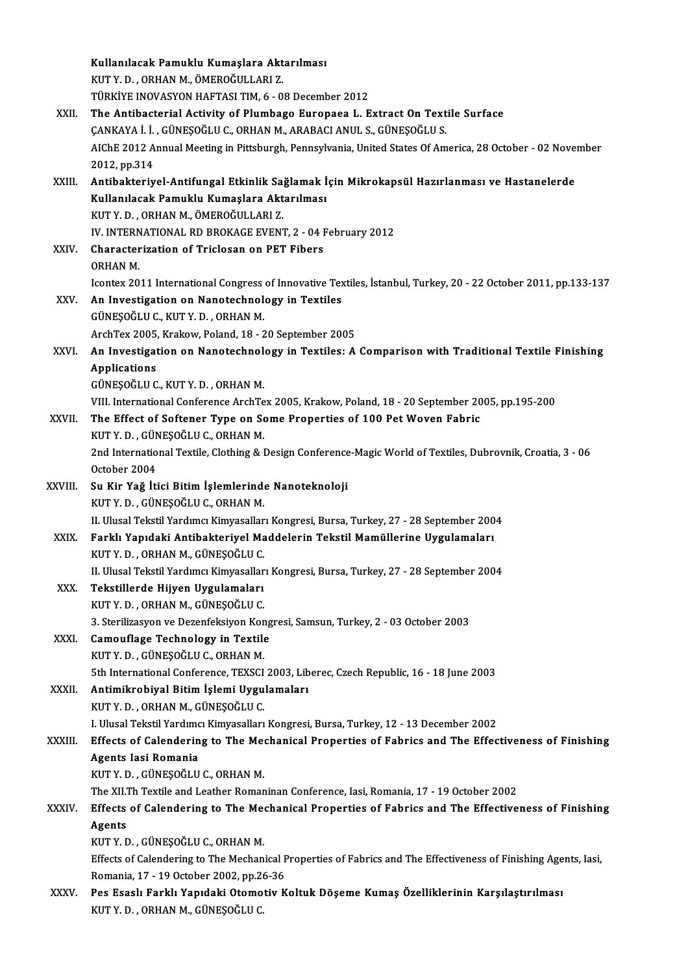|             | Kullanılacak Pamuklu Kumaşlara Aktarılması                                                                      |
|-------------|-----------------------------------------------------------------------------------------------------------------|
|             | KUT Y. D., ORHAN M., ÖMEROĞULLARI Z.                                                                            |
|             | TÜRKİYE INOVASYON HAFTASI TIM, 6 - 08 December 2012                                                             |
| XXII.       | The Antibacterial Activity of Plumbago Europaea L. Extract On Textile Surface                                   |
|             | ÇANKAYA İ. İ. , GÜNEŞOĞLU C., ORHAN M., ARABACI ANUL S., GÜNEŞOĞLU S.                                           |
|             | AIChE 2012 Annual Meeting in Pittsburgh, Pennsylvania, United States Of America, 28 October - 02 November       |
|             | 2012, pp 314                                                                                                    |
| XXIII.      | Antibakteriyel-Antifungal Etkinlik Sağlamak İçin Mikrokapsül Hazırlanması ve Hastanelerde                       |
|             | Kullanılacak Pamuklu Kumaşlara Aktarılması                                                                      |
|             | KUT Y. D., ORHAN M., ÖMEROĞULLARI Z.                                                                            |
|             | IV. INTERNATIONAL RD BROKAGE EVENT, 2 - 04 February 2012                                                        |
| XXIV.       | Characterization of Triclosan on PET Fibers                                                                     |
|             | <b>ORHAN M.</b>                                                                                                 |
|             | Icontex 2011 International Congress of Innovative Textiles, İstanbul, Turkey, 20 - 22 October 2011, pp.133-137  |
| XXV         | An Investigation on Nanotechnology in Textiles                                                                  |
|             | GÜNEŞOĞLU C., KUT Y. D., ORHAN M.                                                                               |
|             | ArchTex 2005, Krakow, Poland, 18 - 20 September 2005                                                            |
| XXVI.       | An Investigation on Nanotechnology in Textiles: A Comparison with Traditional Textile Finishing                 |
|             | <b>Applications</b>                                                                                             |
|             | GÜNEŞOĞLU C., KUT Y. D., ORHAN M.                                                                               |
|             | VIII. International Conference ArchTex 2005, Krakow, Poland, 18 - 20 September 2005, pp.195-200                 |
| XXVII.      | The Effect of Softener Type on Some Properties of 100 Pet Woven Fabric                                          |
|             | KUT Y.D., GÜNEŞOĞLU C., ORHAN M.                                                                                |
|             | 2nd International Textile, Clothing & Design Conference-Magic World of Textiles, Dubrovnik, Croatia, 3 - 06     |
|             | October 2004                                                                                                    |
| XXVIII.     | Su Kir Yağ İtici Bitim İşlemlerinde Nanoteknoloji                                                               |
|             | KUT Y.D., GÜNEŞOĞLU C., ORHAN M.                                                                                |
|             | II. Ulusal Tekstil Yardımcı Kimyasalları Kongresi, Bursa, Turkey, 27 - 28 September 2004                        |
| <b>XXIX</b> | Farklı Yapıdaki Antibakteriyel Maddelerin Tekstil Mamüllerine Uygulamaları                                      |
|             | KUT Y.D., ORHAN M., GÜNEŞOĞLU C.                                                                                |
| XXX.        | II. Ulusal Tekstil Yardımcı Kimyasalları Kongresi, Bursa, Turkey, 27 - 28 September 2004                        |
|             | Tekstillerde Hijyen Uygulamaları<br>KUT Y. D., ORHAN M., GÜNEŞOĞLU C.                                           |
|             | 3. Sterilizasyon ve Dezenfeksiyon Kongresi, Samsun, Turkey, 2 - 03 October 2003                                 |
| XXXI.       | Camouflage Technology in Textile                                                                                |
|             | KUT Y.D., GÜNEŞOĞLU C., ORHAN M.                                                                                |
|             | 5th International Conference, TEXSCI 2003, Liberec, Czech Republic, 16 - 18 June 2003                           |
| XXXII.      | Antimikrobiyal Bitim İşlemi Uygulamaları                                                                        |
|             | KUT Y.D., ORHAN M., GÜNEŞOĞLU C.                                                                                |
|             | I. Ulusal Tekstil Yardımcı Kimyasalları Kongresi, Bursa, Turkey, 12 - 13 December 2002                          |
| XXXIII.     | Effects of Calendering to The Mechanical Properties of Fabrics and The Effectiveness of Finishing               |
|             | Agents Iasi Romania                                                                                             |
|             | KUT Y.D., GÜNEŞOĞLU C., ORHAN M.                                                                                |
|             | The XII.Th Textile and Leather Romaninan Conference, Iasi, Romania, 17 - 19 October 2002                        |
| XXXIV       | Effects of Calendering to The Mechanical Properties of Fabrics and The Effectiveness of Finishing               |
|             | Agents                                                                                                          |
|             | KUT Y.D., GÜNEŞOĞLU C., ORHAN M.                                                                                |
|             | Effects of Calendering to The Mechanical Properties of Fabrics and The Effectiveness of Finishing Agents, Iasi, |
|             | Romania, 17 - 19 October 2002, pp 26-36                                                                         |
| XXXV.       | Pes Esaslı Farklı Yapıdaki Otomotiv Koltuk Döşeme Kumaş Özelliklerinin Karşılaştırılması                        |
|             | KUT Y. D., ORHAN M., GÜNEŞOĞLU C.                                                                               |
|             |                                                                                                                 |